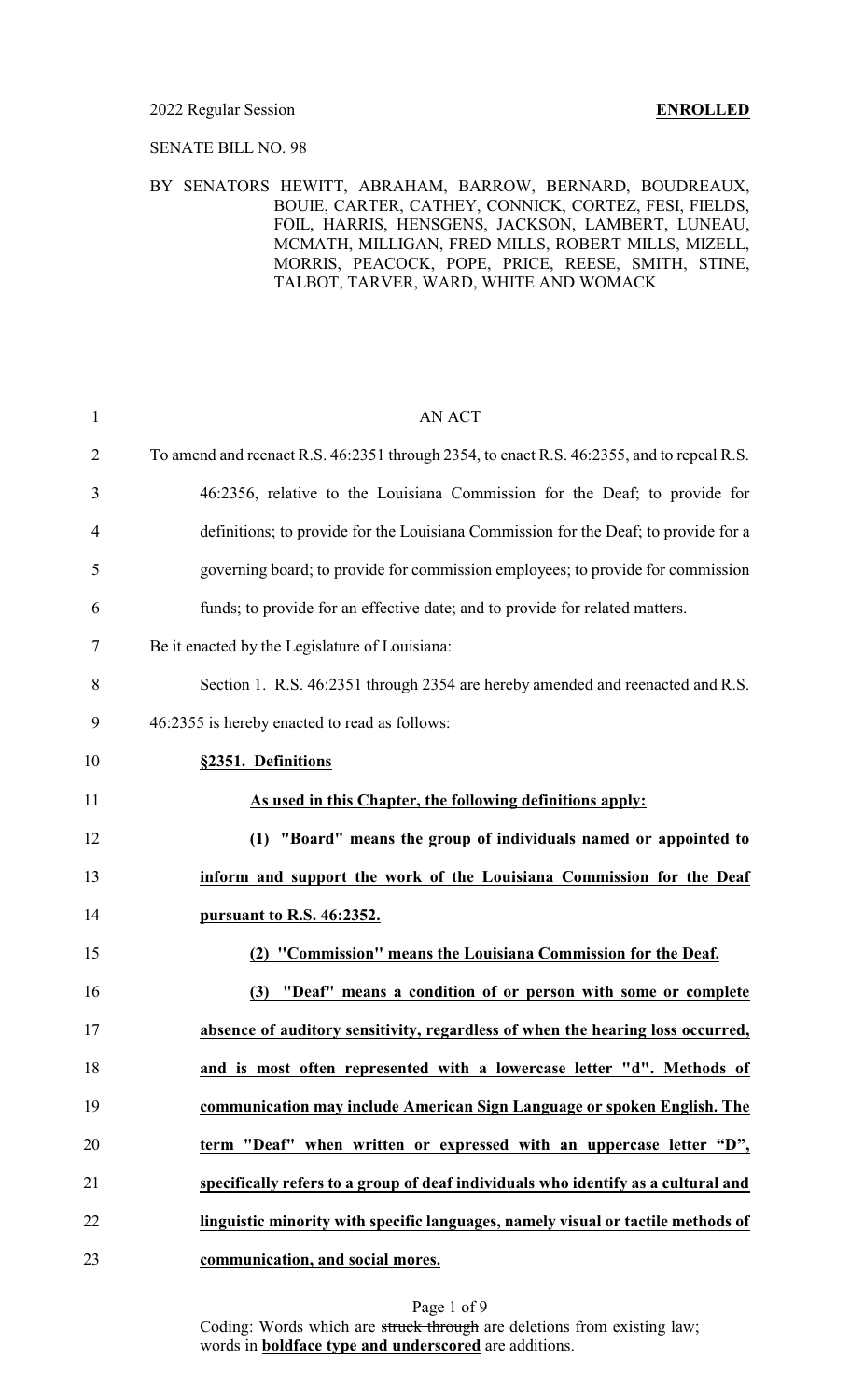### 2022 Regular Session **ENROLLED**

### SENATE BILL NO. 98

### BY SENATORS HEWITT, ABRAHAM, BARROW, BERNARD, BOUDREAUX, BOUIE, CARTER, CATHEY, CONNICK, CORTEZ, FESI, FIELDS, FOIL, HARRIS, HENSGENS, JACKSON, LAMBERT, LUNEAU, MCMATH, MILLIGAN, FRED MILLS, ROBERT MILLS, MIZELL, MORRIS, PEACOCK, POPE, PRICE, REESE, SMITH, STINE, TALBOT, TARVER, WARD, WHITE AND WOMACK

| $\mathbf{1}$   | <b>AN ACT</b>                                                                             |
|----------------|-------------------------------------------------------------------------------------------|
| $\overline{2}$ | To amend and reenact R.S. 46:2351 through 2354, to enact R.S. 46:2355, and to repeal R.S. |
| 3              | 46:2356, relative to the Louisiana Commission for the Deaf; to provide for                |
| $\overline{4}$ | definitions; to provide for the Louisiana Commission for the Deaf; to provide for a       |
| 5              | governing board; to provide for commission employees; to provide for commission           |
| 6              | funds; to provide for an effective date; and to provide for related matters.              |
| 7              | Be it enacted by the Legislature of Louisiana:                                            |
| 8              | Section 1. R.S. 46:2351 through 2354 are hereby amended and reenacted and R.S.            |
| 9              | 46:2355 is hereby enacted to read as follows:                                             |
| 10             | §2351. Definitions                                                                        |
| 11             | As used in this Chapter, the following definitions apply:                                 |
| 12             | (1) "Board" means the group of individuals named or appointed to                          |
| 13             | inform and support the work of the Louisiana Commission for the Deaf                      |
| 14             | <u>pursuant to R.S. 46:2352.</u>                                                          |
| 15             | (2) "Commission" means the Louisiana Commission for the Deaf.                             |
| 16             | "Deaf" means a condition of or person with some or complete<br>(3)                        |
| 17             | absence of auditory sensitivity, regardless of when the hearing loss occurred,            |
| 18             | and is most often represented with a lowercase letter "d". Methods of                     |
| 19             | communication may include American Sign Language or spoken English. The                   |
| 20             | term "Deaf" when written or expressed with an uppercase letter "D",                       |
| 21             | specifically refers to a group of deaf individuals who identify as a cultural and         |
| 22             | linguistic minority with specific languages, namely visual or tactile methods of          |
| 23             | communication, and social mores.                                                          |

Page 1 of 9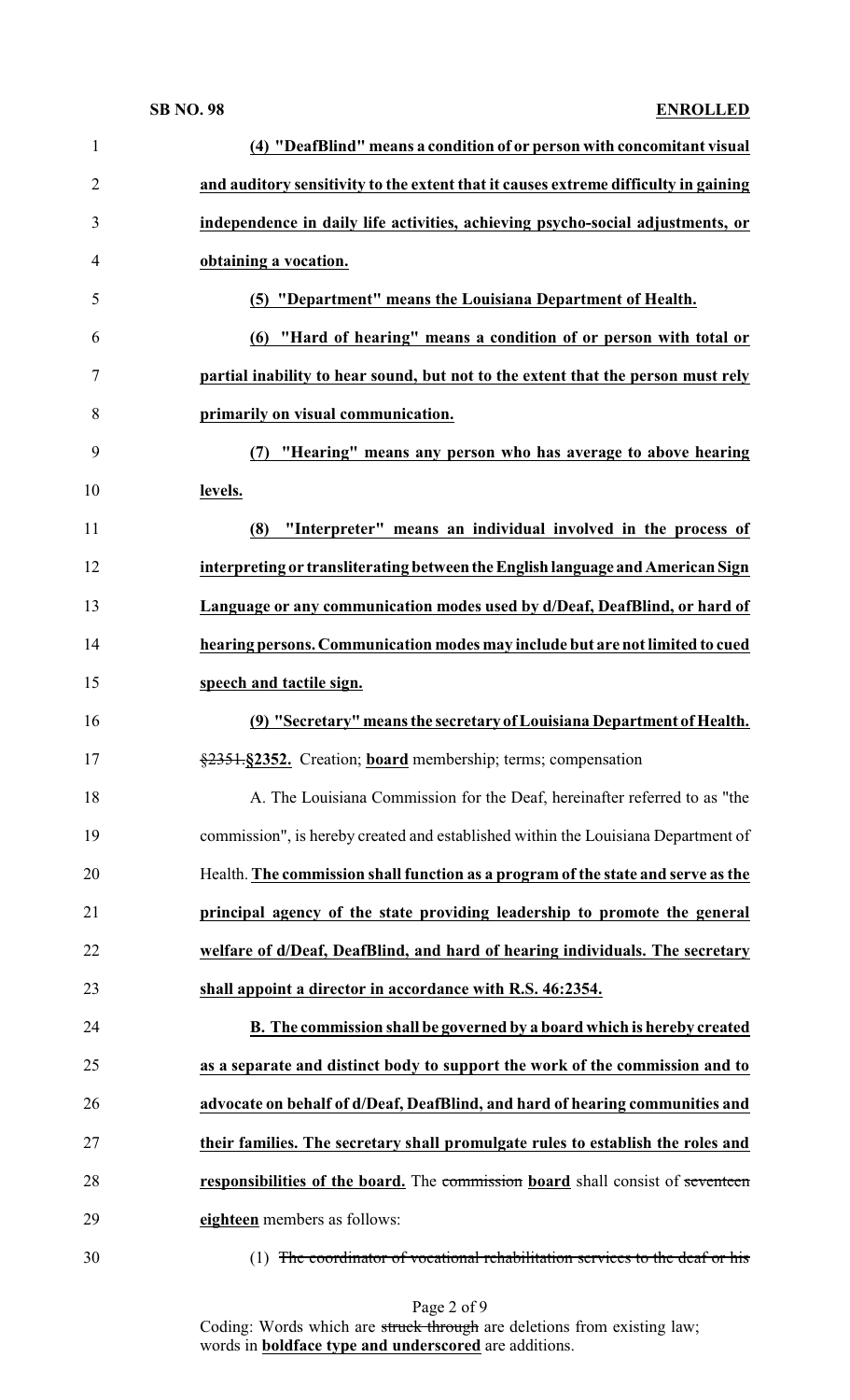| $\mathbf{1}$   | (4) "DeafBlind" means a condition of or person with concomitant visual              |
|----------------|-------------------------------------------------------------------------------------|
| $\overline{2}$ | and auditory sensitivity to the extent that it causes extreme difficulty in gaining |
| 3              | independence in daily life activities, achieving psycho-social adjustments, or      |
| $\overline{4}$ | obtaining a vocation.                                                               |
| 5              | (5) "Department" means the Louisiana Department of Health.                          |
| 6              | (6) "Hard of hearing" means a condition of or person with total or                  |
| $\tau$         | partial inability to hear sound, but not to the extent that the person must rely    |
| 8              | primarily on visual communication.                                                  |
| 9              | "Hearing" means any person who has average to above hearing<br>(7)                  |
| 10             | levels.                                                                             |
| 11             | "Interpreter" means an individual involved in the process of<br>(8)                 |
| 12             | interpreting or transliterating between the English language and American Sign      |
| 13             | Language or any communication modes used by d/Deaf, DeafBlind, or hard of           |
| 14             | hearing persons. Communication modes may include but are not limited to cued        |
| 15             | speech and tactile sign.                                                            |
|                |                                                                                     |
| 16             | (9) "Secretary" means the secretary of Louisiana Department of Health.              |
| 17             | §2351-§2352. Creation; board membership; terms; compensation                        |
| 18             | A. The Louisiana Commission for the Deaf, hereinafter referred to as "the           |
| 19             | commission", is hereby created and established within the Louisiana Department of   |
| 20             | Health. The commission shall function as a program of the state and serve as the    |
| 21             | principal agency of the state providing leadership to promote the general           |
| 22             | welfare of d/Deaf, DeafBlind, and hard of hearing individuals. The secretary        |
| 23             | shall appoint a director in accordance with R.S. 46:2354.                           |
| 24             | B. The commission shall be governed by a board which is hereby created              |
| 25             | as a separate and distinct body to support the work of the commission and to        |
| 26             | advocate on behalf of d/Deaf, DeafBlind, and hard of hearing communities and        |
| 27             | their families. The secretary shall promulgate rules to establish the roles and     |
| 28             | responsibilities of the board. The commission board shall consist of seventeen      |
| 29             | eighteen members as follows:                                                        |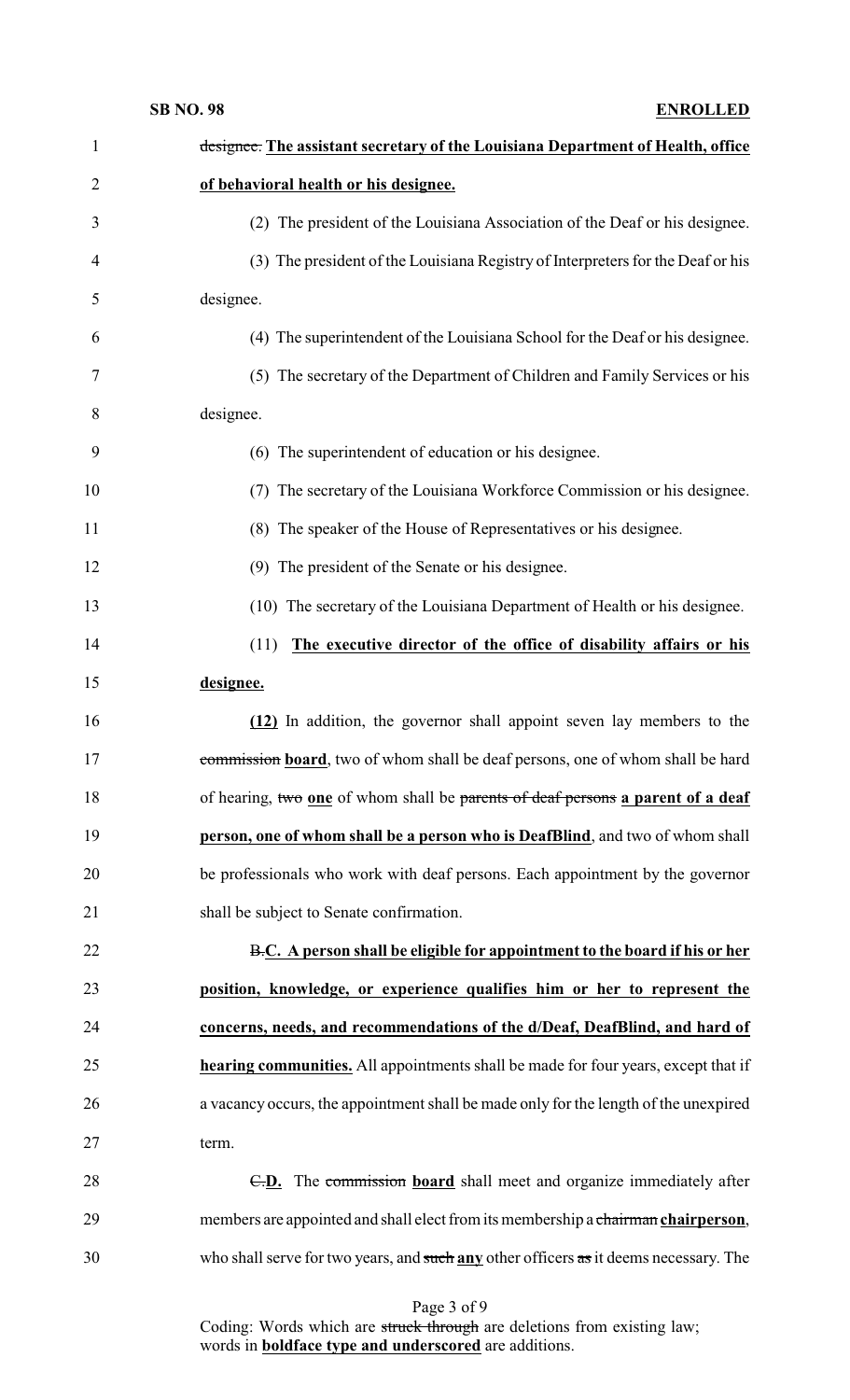| $\mathbf{1}$ | designee. The assistant secretary of the Louisiana Department of Health, office           |
|--------------|-------------------------------------------------------------------------------------------|
| 2            | of behavioral health or his designee.                                                     |
| 3            | (2) The president of the Louisiana Association of the Deaf or his designee.               |
| 4            | (3) The president of the Louisiana Registry of Interpreters for the Deaf or his           |
| 5            | designee.                                                                                 |
| 6            | (4) The superintendent of the Louisiana School for the Deaf or his designee.              |
| 7            | (5) The secretary of the Department of Children and Family Services or his                |
| 8            | designee.                                                                                 |
| 9            | (6) The superintendent of education or his designee.                                      |
| 10           | The secretary of the Louisiana Workforce Commission or his designee.<br>(7)               |
| 11           | (8) The speaker of the House of Representatives or his designee.                          |
| 12           | (9) The president of the Senate or his designee.                                          |
| 13           | (10) The secretary of the Louisiana Department of Health or his designee.                 |
| 14           | The executive director of the office of disability affairs or his<br>(11)                 |
| 15           | designee.                                                                                 |
| 16           | (12) In addition, the governor shall appoint seven lay members to the                     |
| 17           | commission board, two of whom shall be deaf persons, one of whom shall be hard            |
| 18           | of hearing, two one of whom shall be parents of deaf persons a parent of a deaf           |
| 19           | person, one of whom shall be a person who is DeafBlind, and two of whom shall             |
| 20           | be professionals who work with deaf persons. Each appointment by the governor             |
| 21           | shall be subject to Senate confirmation.                                                  |
| 22           | B.C. A person shall be eligible for appointment to the board if his or her                |
| 23           | position, knowledge, or experience qualifies him or her to represent the                  |
| 24           | concerns, needs, and recommendations of the d/Deaf, DeafBlind, and hard of                |
| 25           | <b>hearing communities.</b> All appointments shall be made for four years, except that if |
| 26           | a vacancy occurs, the appointment shall be made only for the length of the unexpired      |
| 27           | term.                                                                                     |
| 28           | E.D. The commission board shall meet and organize immediately after                       |
| 29           | members are appointed and shall elect from its membership a chairman chairperson,         |
| 30           | who shall serve for two years, and such any other officers as it deems necessary. The     |

Page 3 of 9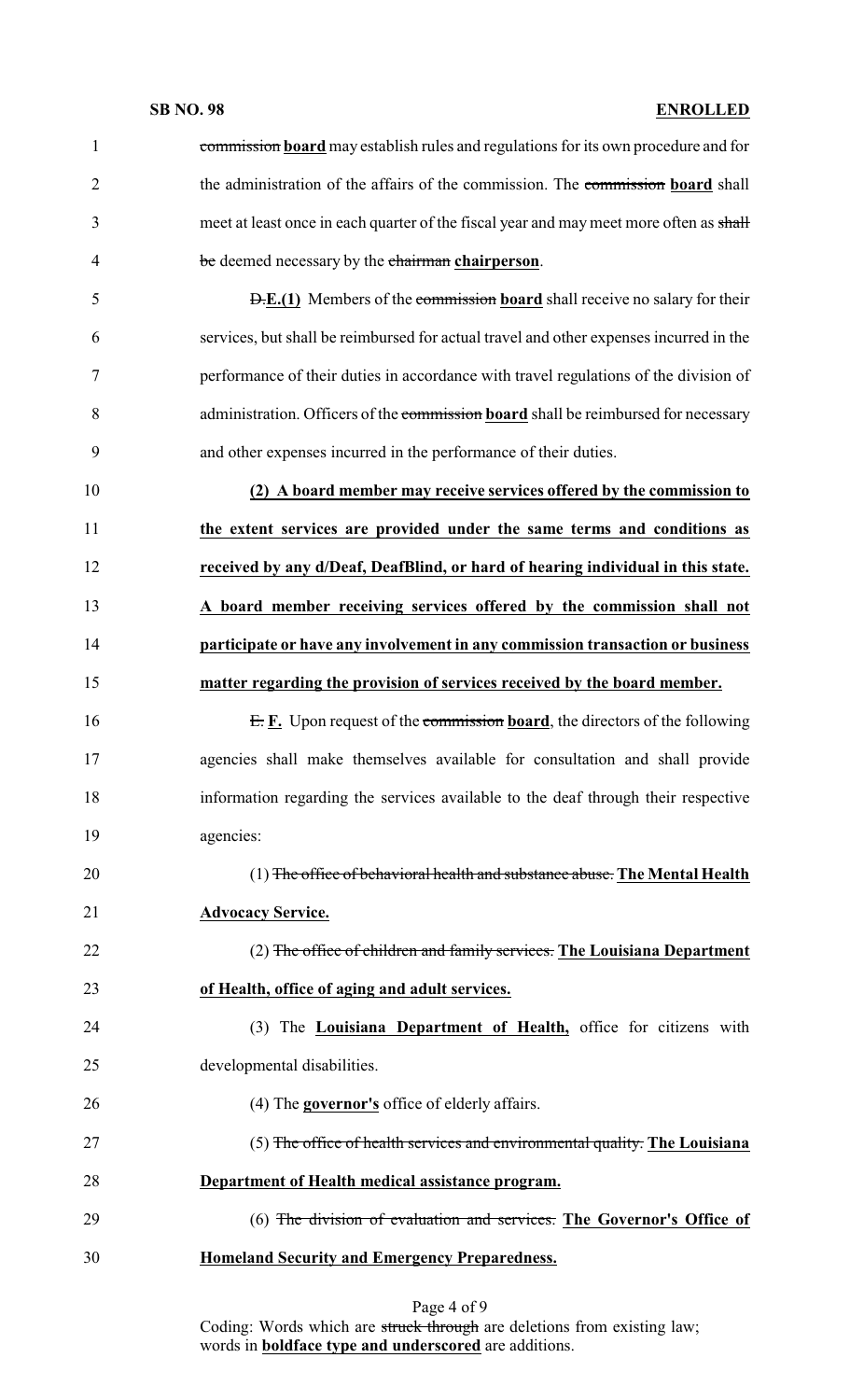| $\mathbf{1}$   | commission board may establish rules and regulations for its own procedure and for     |
|----------------|----------------------------------------------------------------------------------------|
| $\overline{2}$ | the administration of the affairs of the commission. The commission board shall        |
| 3              | meet at least once in each quarter of the fiscal year and may meet more often as shall |
| $\overline{4}$ | be deemed necessary by the chairman chairperson.                                       |
| 5              | <b>D.E.(1)</b> Members of the commission board shall receive no salary for their       |
| 6              | services, but shall be reimbursed for actual travel and other expenses incurred in the |
| 7              | performance of their duties in accordance with travel regulations of the division of   |
| 8              | administration. Officers of the commission board shall be reimbursed for necessary     |
| 9              | and other expenses incurred in the performance of their duties.                        |
| 10             | (2) A board member may receive services offered by the commission to                   |
| 11             | the extent services are provided under the same terms and conditions as                |
| 12             | received by any d/Deaf, DeafBlind, or hard of hearing individual in this state.        |
| 13             | A board member receiving services offered by the commission shall not                  |
| 14             | participate or have any involvement in any commission transaction or business          |
| 15             | matter regarding the provision of services received by the board member.               |
| 16             | $E$ . E. Upon request of the commission <b>board</b> , the directors of the following  |
| 17             | agencies shall make themselves available for consultation and shall provide            |
| 18             | information regarding the services available to the deaf through their respective      |
| 19             | agencies:                                                                              |
| 20             | (1) The office of behavioral health and substance abuse. The Mental Health             |
| 21             | <b>Advocacy Service.</b>                                                               |
| 22             | (2) The office of children and family services. The Louisiana Department               |
| 23             | of Health, office of aging and adult services.                                         |
| 24             | (3) The <b>Louisiana Department of Health</b> , office for citizens with               |
| 25             | developmental disabilities.                                                            |
| 26             | $(4)$ The <b>governor's</b> office of elderly affairs.                                 |
| 27             | (5) The office of health services and environmental quality. The Louisiana             |
| 28             | Department of Health medical assistance program.                                       |
| 29             | (6) The division of evaluation and services. The Governor's Office of                  |
| 30             | <b>Homeland Security and Emergency Preparedness.</b>                                   |
|                |                                                                                        |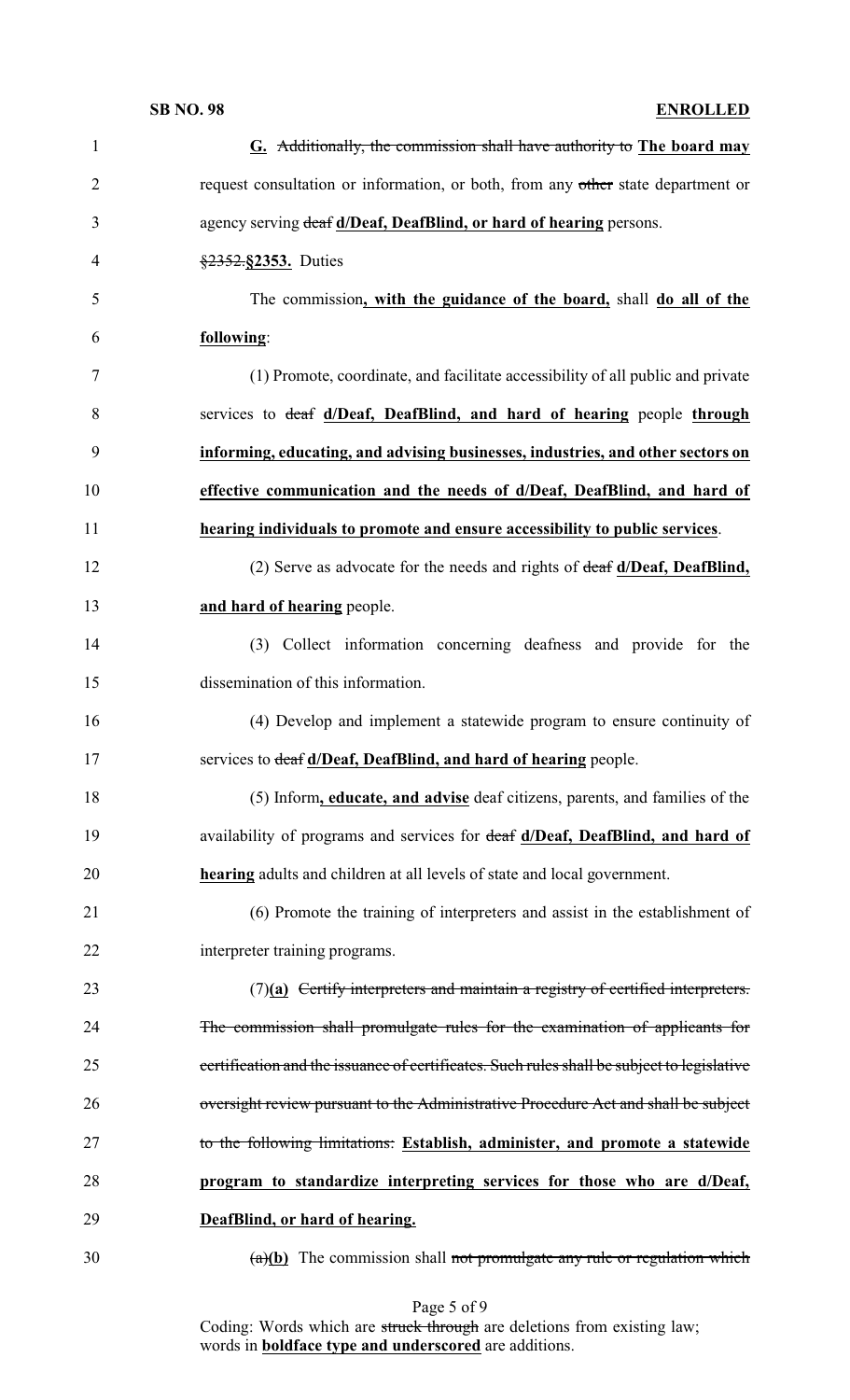| $\mathbf{1}$   | G. Additionally, the commission shall have authority to The board may                      |
|----------------|--------------------------------------------------------------------------------------------|
| $\overline{2}$ | request consultation or information, or both, from any other state department or           |
| 3              | agency serving deaf d/Deaf, DeafBlind, or hard of hearing persons.                         |
| $\overline{4}$ | §2352.§2353. Duties                                                                        |
| 5              | The commission, with the guidance of the board, shall do all of the                        |
| 6              | following:                                                                                 |
| 7              | (1) Promote, coordinate, and facilitate accessibility of all public and private            |
| 8              | services to deaf d/Deaf, DeafBlind, and hard of hearing people through                     |
| 9              | informing, educating, and advising businesses, industries, and other sectors on            |
| 10             | effective communication and the needs of d/Deaf, DeafBlind, and hard of                    |
| 11             | hearing individuals to promote and ensure accessibility to public services.                |
| 12             | (2) Serve as advocate for the needs and rights of $\frac{deaf}{deaf}$ d/Deaf, DeafBlind,   |
| 13             | and hard of hearing people.                                                                |
| 14             | (3) Collect information concerning deafness and provide for the                            |
| 15             | dissemination of this information.                                                         |
| 16             | (4) Develop and implement a statewide program to ensure continuity of                      |
| 17             | services to deaf d/Deaf, DeafBlind, and hard of hearing people.                            |
| 18             | (5) Inform, educate, and advise deaf citizens, parents, and families of the                |
| 19             | availability of programs and services for deaf d/Deaf, DeafBlind, and hard of              |
| 20             | <b>hearing</b> adults and children at all levels of state and local government.            |
| 21             | (6) Promote the training of interpreters and assist in the establishment of                |
| 22             | interpreter training programs.                                                             |
| 23             | $(7)(a)$ Certify interpreters and maintain a registry of certified interpreters.           |
| 24             | The commission shall promulgate rules for the examination of applicants for                |
| 25             | certification and the issuance of certificates. Such rules shall be subject to legislative |
| 26             | oversight review pursuant to the Administrative Procedure Act and shall be subject         |
| 27             | to the following limitations: Establish, administer, and promote a statewide               |
| 28             | program to standardize interpreting services for those who are d/Deaf,                     |
| 29             | DeafBlind, or hard of hearing.                                                             |
| 30             | $(a)(b)$ The commission shall not promulgate any rule or regulation which                  |

Page 5 of 9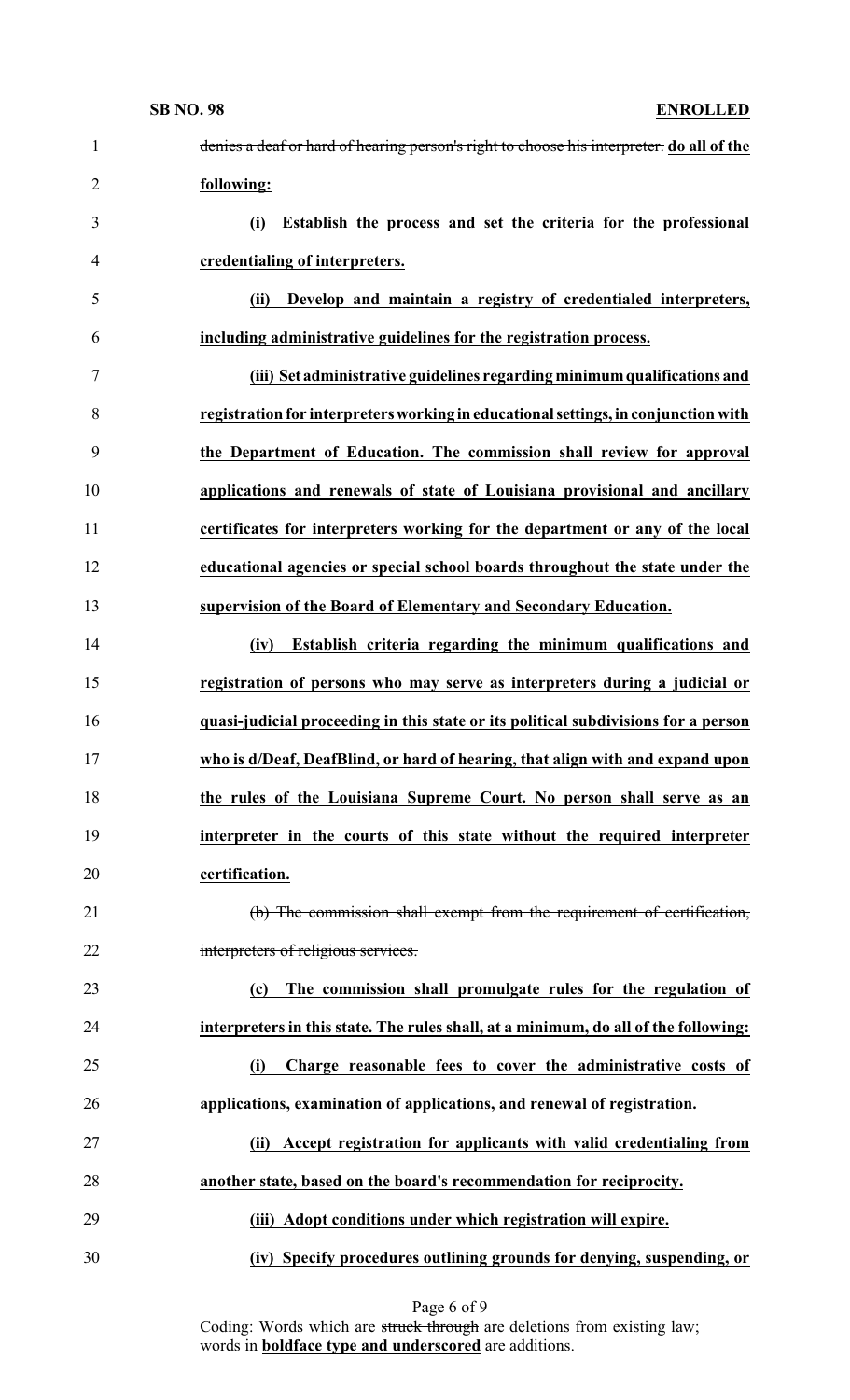| $\mathbf{1}$   | denies a deaf or hard of hearing person's right to choose his interpreter. do all of the |
|----------------|------------------------------------------------------------------------------------------|
| $\overline{2}$ | following:                                                                               |
| 3              | Establish the process and set the criteria for the professional<br>(i)                   |
| $\overline{4}$ | credentialing of interpreters.                                                           |
| 5              | Develop and maintain a registry of credentialed interpreters,<br>(ii)                    |
| 6              | including administrative guidelines for the registration process.                        |
| 7              | (iii) Set administrative guidelines regarding minimum qualifications and                 |
| 8              | registration for interpreters working in educational settings, in conjunction with       |
| 9              | the Department of Education. The commission shall review for approval                    |
| 10             | applications and renewals of state of Louisiana provisional and ancillary                |
| 11             | certificates for interpreters working for the department or any of the local             |
| 12             | educational agencies or special school boards throughout the state under the             |
| 13             | supervision of the Board of Elementary and Secondary Education.                          |
| 14             | Establish criteria regarding the minimum qualifications and<br>(iv)                      |
| 15             | registration of persons who may serve as interpreters during a judicial or               |
| 16             | quasi-judicial proceeding in this state or its political subdivisions for a person       |
| 17             | who is d/Deaf, DeafBlind, or hard of hearing, that align with and expand upon            |
| 18             | the rules of the Louisiana Supreme Court. No person shall serve as an                    |
| 19             | interpreter in the courts of this state without the required interpreter                 |
| 20             | certification.                                                                           |
| 21             | (b) The commission shall exempt from the requirement of certification,                   |
| 22             | interpreters of religious services.                                                      |
| 23             | The commission shall promulgate rules for the regulation of<br>(c)                       |
| 24             | interpreters in this state. The rules shall, at a minimum, do all of the following:      |
| 25             | Charge reasonable fees to cover the administrative costs of<br>(i)                       |
| 26             | applications, examination of applications, and renewal of registration.                  |
| 27             | Accept registration for applicants with valid credentialing from<br>(ii)                 |
| 28             | another state, based on the board's recommendation for reciprocity.                      |
| 29             | (iii) Adopt conditions under which registration will expire.                             |
| 30             | (iv) Specify procedures outlining grounds for denying, suspending, or                    |

Page 6 of 9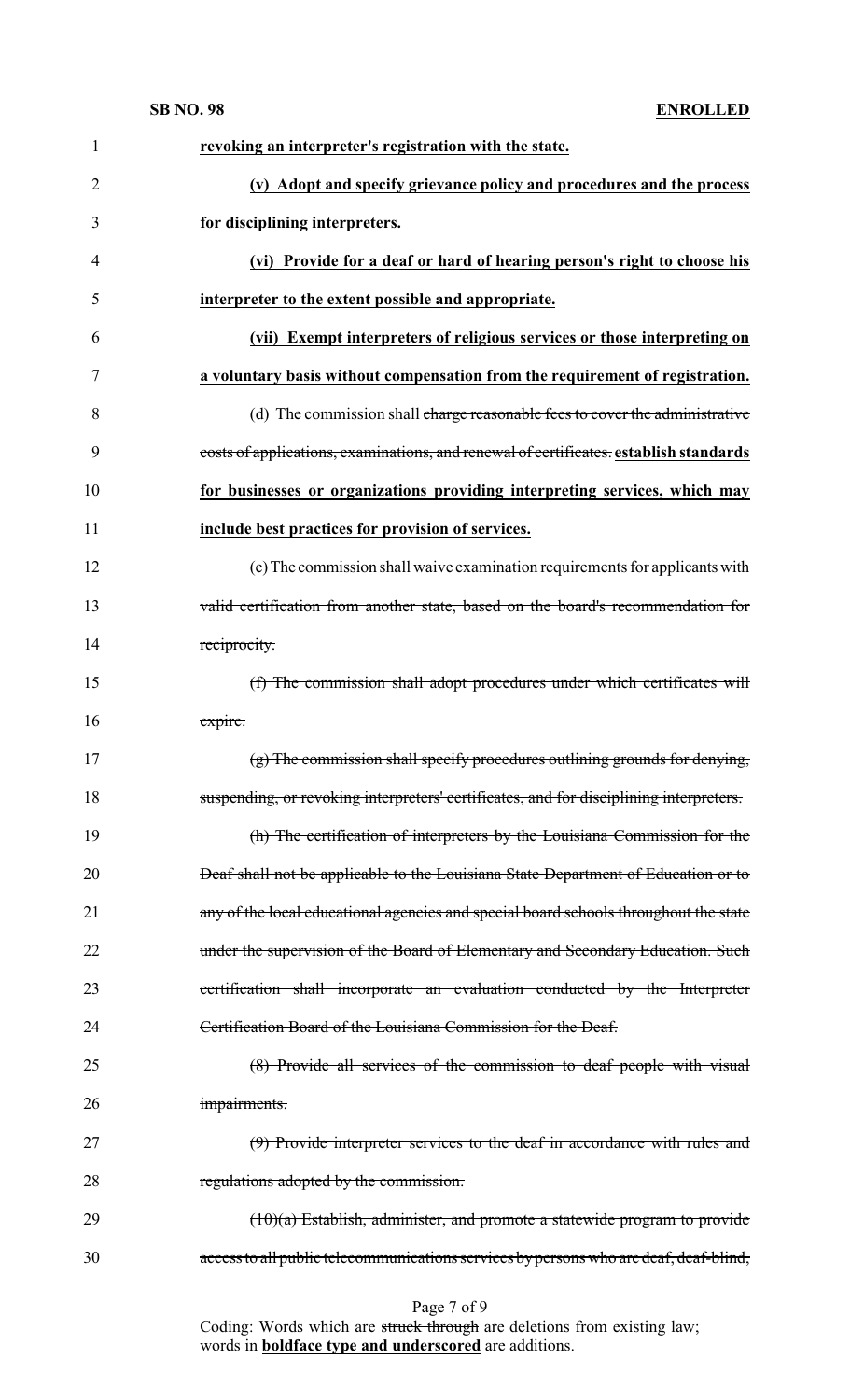| $\mathbf{1}$   | revoking an interpreter's registration with the state.                                 |
|----------------|----------------------------------------------------------------------------------------|
| $\overline{2}$ | (v) Adopt and specify grievance policy and procedures and the process                  |
| 3              | for disciplining interpreters.                                                         |
| 4              | (vi) Provide for a deaf or hard of hearing person's right to choose his                |
| 5              | interpreter to the extent possible and appropriate.                                    |
| 6              | (vii) Exempt interpreters of religious services or those interpreting on               |
| 7              | a voluntary basis without compensation from the requirement of registration.           |
| 8              | (d) The commission shall charge reasonable fees to cover the administrative            |
| 9              | costs of applications, examinations, and renewal of certificates. establish standards  |
| 10             | for businesses or organizations providing interpreting services, which may             |
| 11             | include best practices for provision of services.                                      |
| 12             | (e) The commission shall waive examination requirements for applicants with            |
| 13             | valid certification from another state, based on the board's recommendation for        |
| 14             | reciprocity.                                                                           |
| 15             | (f) The commission shall adopt procedures under which certificates will                |
| 16             | expire.                                                                                |
| 17             | (g) The commission shall specify procedures outlining grounds for denying,             |
| 18             | suspending, or revoking interpreters' certificates, and for disciplining interpreters. |
| 19             | (h) The certification of interpreters by the Louisiana Commission for the              |
| 20             | Deaf shall not be applicable to the Louisiana State Department of Education or to      |
| 21             | any of the local educational agencies and special board schools throughout the state   |
| 22             | under the supervision of the Board of Elementary and Secondary Education. Such         |
| 23             | certification shall incorporate an evaluation conducted by the Interpreter             |
| 24             | Certification Board of the Louisiana Commission for the Deaf.                          |
| 25             | (8) Provide all services of the commission to deaf people with visual                  |
| 26             | impairments.                                                                           |
| 27             | (9) Provide interpreter services to the deaf in accordance with rules and              |
| 28             | regulations adopted by the commission.                                                 |
| 29             | $(10)(a)$ Establish, administer, and promote a statewide program to provide            |
| 30             | access to all public telecommunications services by persons who are deaf, deaf-blind,  |
|                |                                                                                        |

### Page 7 of 9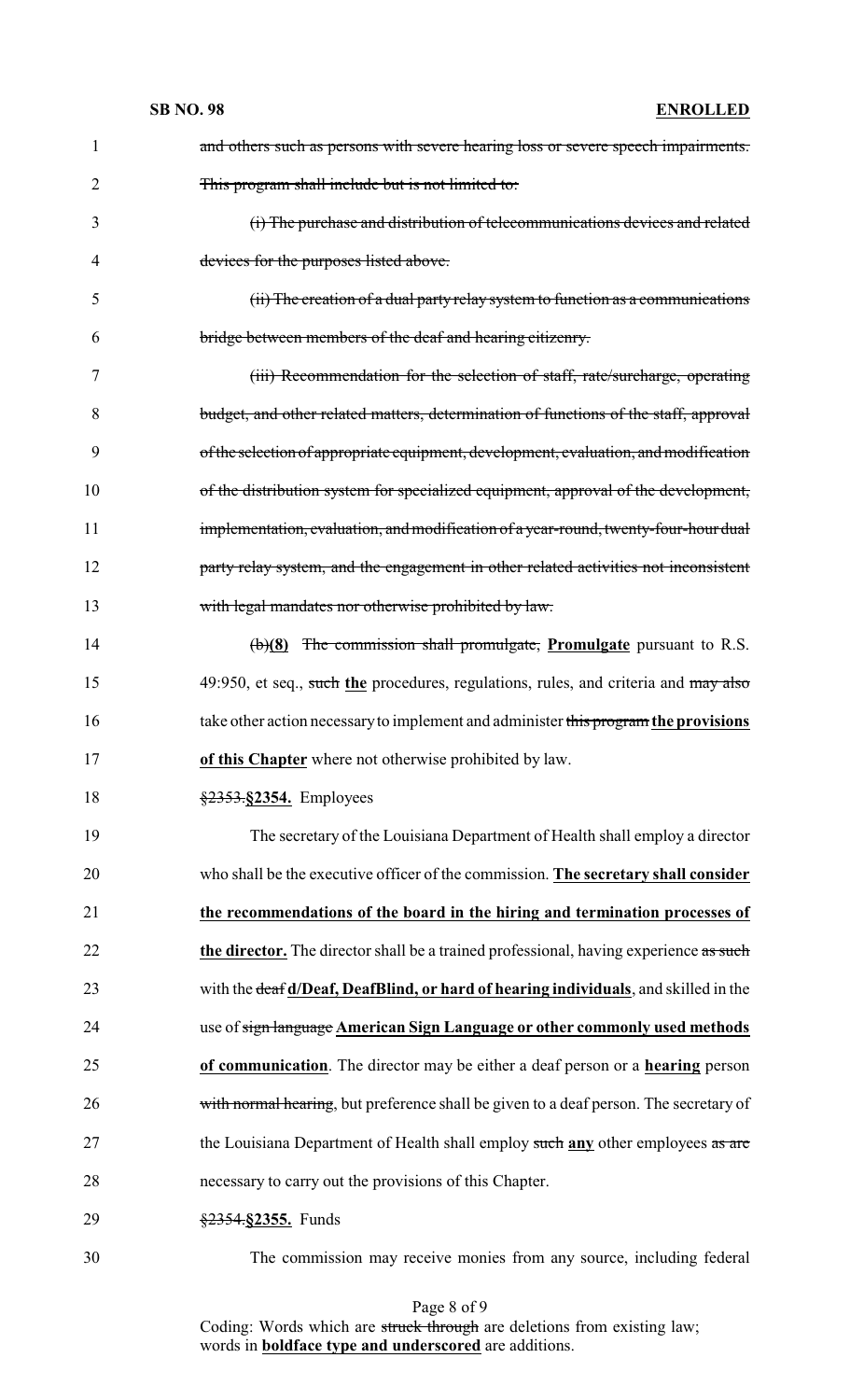| 1  | and others such as persons with severe hearing loss or severe speech impairments.       |
|----|-----------------------------------------------------------------------------------------|
| 2  | This program shall include but is not limited to:                                       |
| 3  | (i) The purchase and distribution of telecommunications devices and related             |
| 4  | devices for the purposes listed above.                                                  |
| 5  | (ii) The creation of a dual party relay system to function as a communications          |
| 6  | bridge between members of the deaf and hearing citizenry.                               |
| 7  | (iii) Recommendation for the selection of staff, rate/surcharge, operating              |
| 8  | budget, and other related matters, determination of functions of the staff, approval    |
| 9  | of the selection of appropriate equipment, development, evaluation, and modification    |
| 10 | of the distribution system for specialized equipment, approval of the development,      |
| 11 | implementation, evaluation, and modification of a year-round, twenty-four-hour dual     |
| 12 | party relay system, and the engagement in other related activities not inconsistent     |
| 13 | with legal mandates nor otherwise prohibited by law.                                    |
| 14 | $\left(\frac{b}{8}\right)$ The commission shall promulgate, Promulgate pursuant to R.S. |
| 15 | 49:950, et seq., such the procedures, regulations, rules, and criteria and may also     |
| 16 | take other action necessary to implement and administer this program the provisions     |
| 17 | of this Chapter where not otherwise prohibited by law.                                  |
| 18 | §2353.§2354. Employees                                                                  |
| 19 | The secretary of the Louisiana Department of Health shall employ a director             |
| 20 | who shall be the executive officer of the commission. The secretary shall consider      |
| 21 | the recommendations of the board in the hiring and termination processes of             |
| 22 | the director. The director shall be a trained professional, having experience as such   |
| 23 | with the deaf d/Deaf, DeafBlind, or hard of hearing individuals, and skilled in the     |
| 24 | use of sign language American Sign Language or other commonly used methods              |
| 25 | of communication. The director may be either a deaf person or a hearing person          |
| 26 | with normal hearing, but preference shall be given to a deaf person. The secretary of   |
| 27 | the Louisiana Department of Health shall employ such any other employees as are         |
| 28 | necessary to carry out the provisions of this Chapter.                                  |
|    |                                                                                         |
| 29 | §2354.§2355. Funds                                                                      |